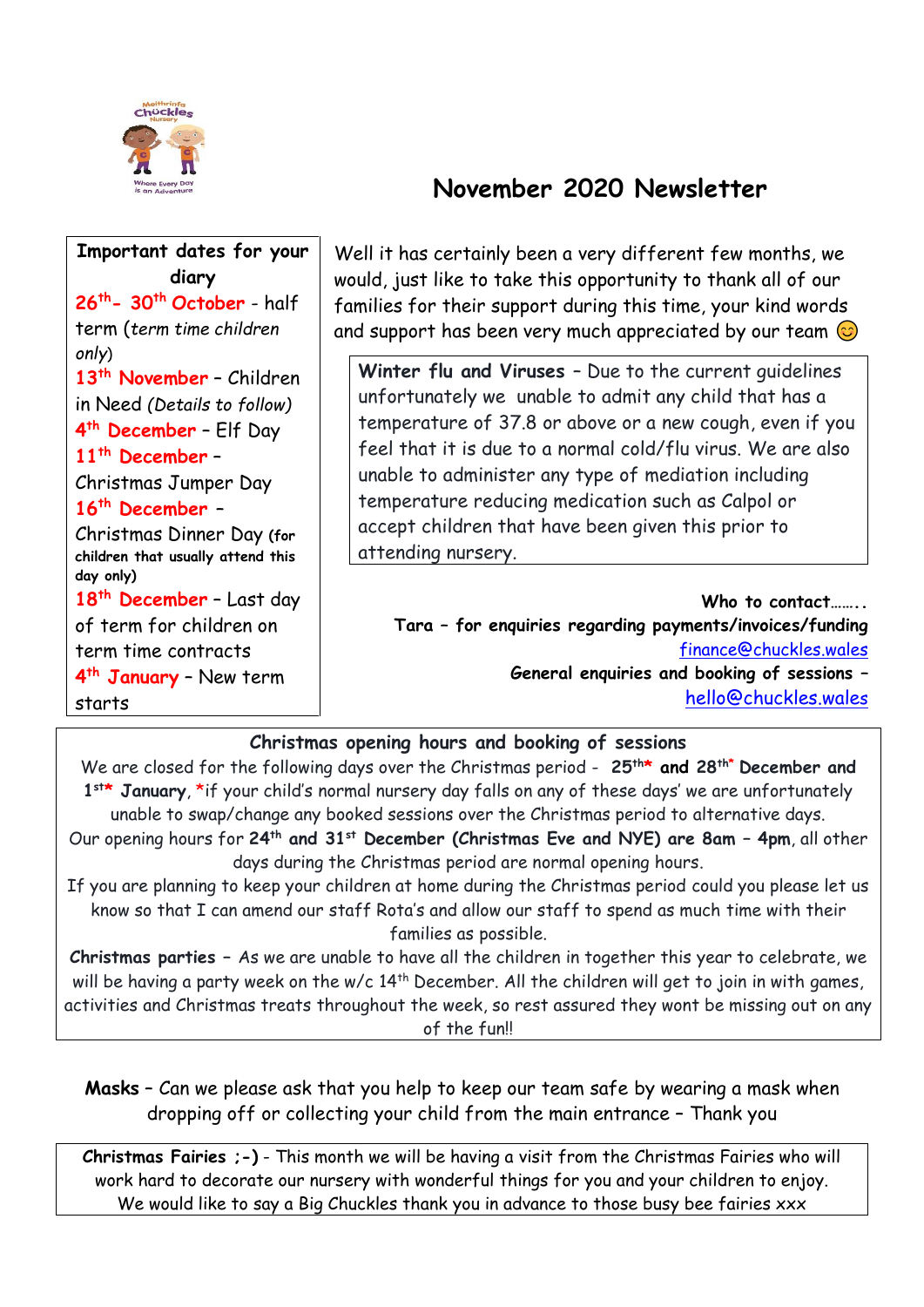

# **November 2020 Newsletter**

| Important dates for your<br>diary<br>$26th$ - 30 <sup>th</sup> October - half<br>term (term time children<br>only)                                                                                                                            | Well it has certainly been a very different few months, we<br>would, just like to take this opportunity to thank all of our<br>families for their support during this time, your kind words<br>and support has been very much appreciated by our team $\odot$                                                                                                                                                                       |  |  |
|-----------------------------------------------------------------------------------------------------------------------------------------------------------------------------------------------------------------------------------------------|-------------------------------------------------------------------------------------------------------------------------------------------------------------------------------------------------------------------------------------------------------------------------------------------------------------------------------------------------------------------------------------------------------------------------------------|--|--|
| 13 <sup>th</sup> November - Children<br>in Need (Details to follow)<br>4 <sup>th</sup> December - Elf Day<br>$11th$ December -<br>Christmas Jumper Day<br>$16th$ December -<br>Christmas Dinner Day (for<br>children that usually attend this | Winter flu and Viruses - Due to the current quidelines<br>unfortunately we unable to admit any child that has a<br>temperature of 37.8 or above or a new cough, even if you<br>feel that it is due to a normal cold/flu virus. We are also<br>unable to administer any type of mediation including<br>temperature reducing medication such as Calpol or<br>accept children that have been given this prior to<br>attending nursery. |  |  |
| day only)<br>18 <sup>th</sup> December - Last day<br>of term for children on<br>term time contracts<br>4 <sup>th</sup> January - New term<br>starts                                                                                           | Who to contact<br>Tara - for enquiries regarding payments/invoices/funding<br>finance@chuckles.wales<br>General enquiries and booking of sessions -<br>hello@chuckles.wales                                                                                                                                                                                                                                                         |  |  |

#### **Christmas opening hours and booking of sessions**

We are closed for the following days over the Christmas period - **25th\* and 28 th\* December and**  1<sup>st\*</sup> January, \*if your child's normal nursery day falls on any of these days' we are unfortunately unable to swap/change any booked sessions over the Christmas period to alternative days. Our opening hours for **24th and 31st December (Christmas Eve and NYE) are 8am – 4pm**, all other days during the Christmas period are normal opening hours.

If you are planning to keep your children at home during the Christmas period could you please let us know so that I can amend our staff Rota's and allow our staff to spend as much time with their families as possible.

**Christmas parties –** As we are unable to have all the children in together this year to celebrate, we will be having a party week on the  $w/c$  14<sup>th</sup> December. All the children will get to join in with games, activities and Christmas treats throughout the week, so rest assured they wont be missing out on any of the fun!!

**Masks** – Can we please ask that you help to keep our team safe by wearing a mask when dropping off or collecting your child from the main entrance – Thank you

**Christmas Fairies ;-)** - This month we will be having a visit from the Christmas Fairies who will work hard to decorate our nursery with wonderful things for you and your children to enjoy. We would like to say a Big Chuckles thank you in advance to those busy bee fairies xxx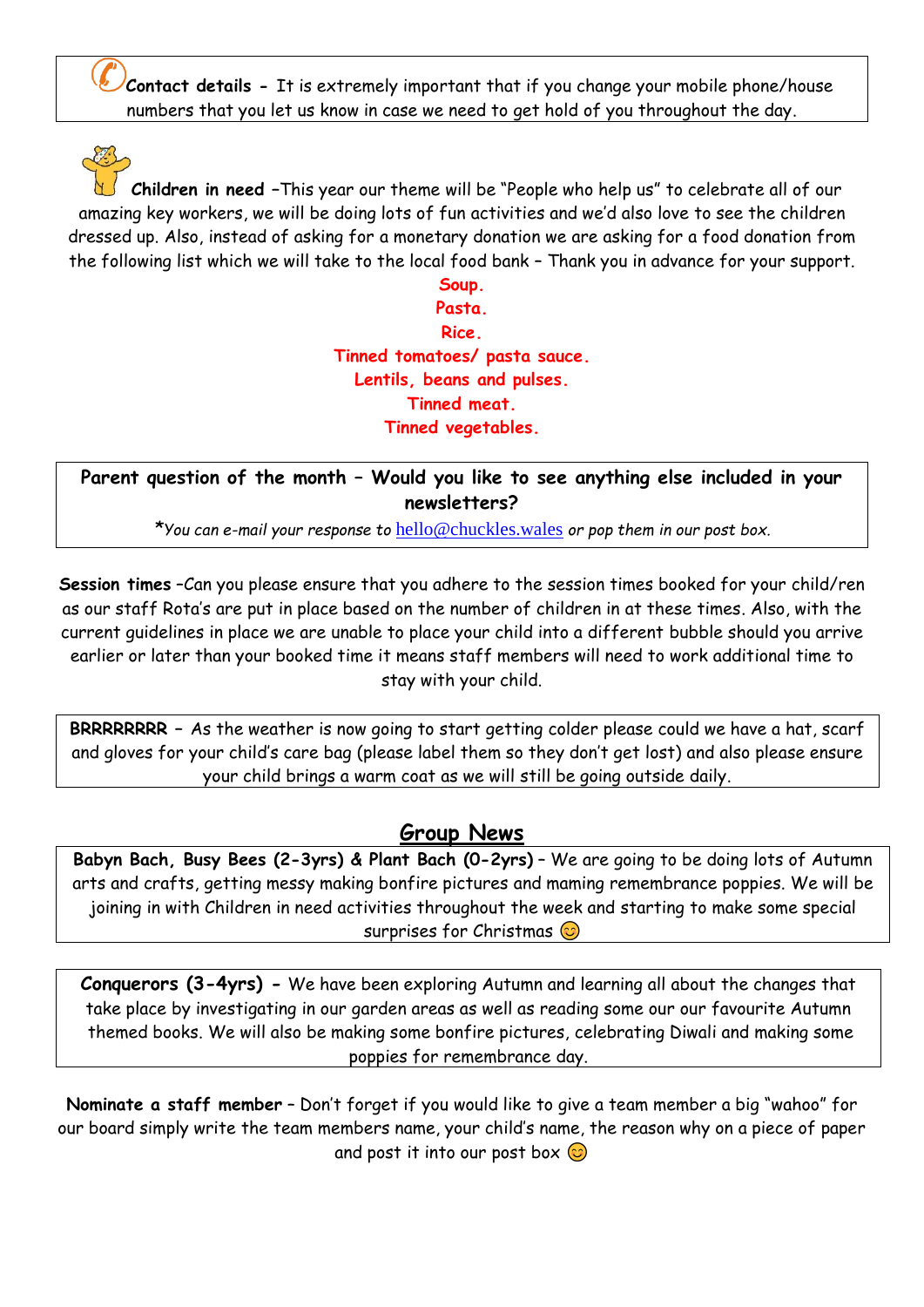**Contact details -** It is extremely important that if you change your mobile phone/house numbers that you let us know in case we need to get hold of you throughout the day.

**Children in need –**This year our theme will be "People who help us" to celebrate all of our amazing key workers, we will be doing lots of fun activities and we'd also love to see the children dressed up. Also, instead of asking for a monetary donation we are asking for a food donation from the following list which we will take to the local food bank – Thank you in advance for your support.

> **Soup. Pasta. Rice. Tinned tomatoes/ pasta sauce. Lentils, beans and pulses. Tinned meat. Tinned vegetables.**

**Parent question of the month – Would you like to see anything else included in your newsletters?** 

*\*You can e-mail your response to* [hello@chuckles.wales](mailto:hello@chuckles.wales) *or pop them in our post box.*

**Session times** –Can you please ensure that you adhere to the session times booked for your child/ren as our staff Rota's are put in place based on the number of children in at these times. Also, with the current guidelines in place we are unable to place your child into a different bubble should you arrive earlier or later than your booked time it means staff members will need to work additional time to stay with your child.

**BRRRRRRRR –** As the weather is now going to start getting colder please could we have a hat, scarf and gloves for your child's care bag (please label them so they don't get lost) and also please ensure your child brings a warm coat as we will still be going outside daily.

### **Group News**

**Babyn Bach, Busy Bees (2-3yrs) & Plant Bach (0-2yrs)** – We are going to be doing lots of Autumn arts and crafts, getting messy making bonfire pictures and maming remembrance poppies. We will be joining in with Children in need activities throughout the week and starting to make some special surprises for Christmas  $\odot$ 

**Conquerors (3-4yrs) -** We have been exploring Autumn and learning all about the changes that take place by investigating in our garden areas as well as reading some our our favourite Autumn themed books. We will also be making some bonfire pictures, celebrating Diwali and making some poppies for remembrance day.

**Nominate a staff member** – Don't forget if you would like to give a team member a big "wahoo" for our board simply write the team members name, your child's name, the reason why on a piece of paper and post it into our post box  $\odot$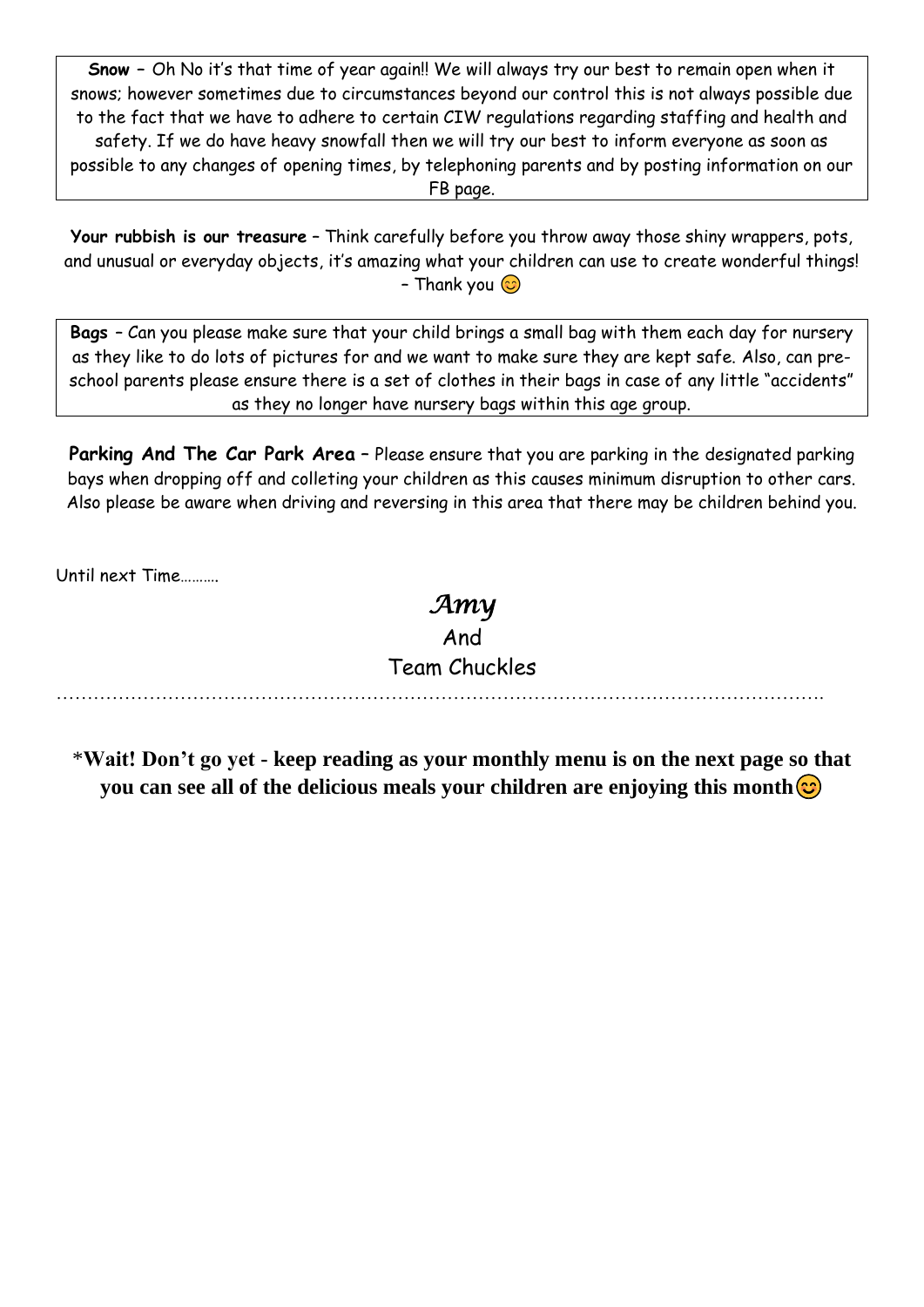**Snow –** Oh No it's that time of year again!! We will always try our best to remain open when it snows; however sometimes due to circumstances beyond our control this is not always possible due to the fact that we have to adhere to certain CIW regulations regarding staffing and health and safety. If we do have heavy snowfall then we will try our best to inform everyone as soon as possible to any changes of opening times, by telephoning parents and by posting information on our FB page.

**Your rubbish is our treasure** – Think carefully before you throw away those shiny wrappers, pots, and unusual or everyday objects, it's amazing what your children can use to create wonderful things! – Thank you  $\odot$ 

**Bags** – Can you please make sure that your child brings a small bag with them each day for nursery as they like to do lots of pictures for and we want to make sure they are kept safe. Also, can preschool parents please ensure there is a set of clothes in their bags in case of any little "accidents" as they no longer have nursery bags within this age group.

Parking And The Car Park Area - Please ensure that you are parking in the designated parking bays when dropping off and colleting your children as this causes minimum disruption to other cars. Also please be aware when driving and reversing in this area that there may be children behind you.

Until next Time……….

## *Amy*  And Team Chuckles

…………………………………………………………………………………………………………….

\***Wait! Don't go yet - keep reading as your monthly menu is on the next page so that you can see all of the delicious meals your children are enjoying this month**